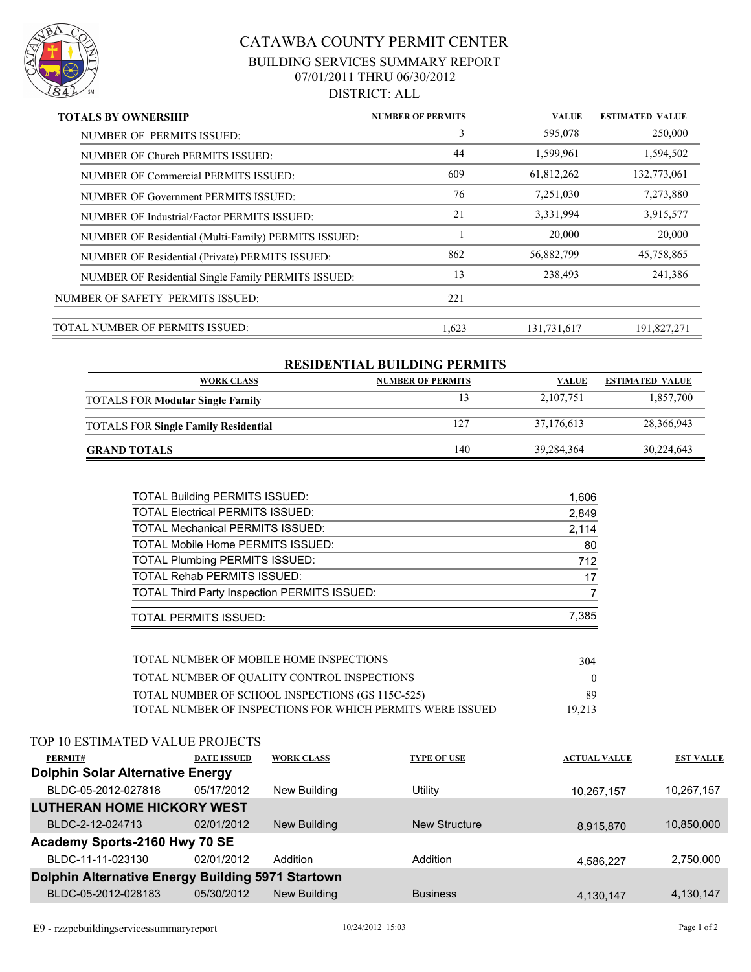

## CATAWBA COUNTY PERMIT CENTER BUILDING SERVICES SUMMARY REPORT 07/01/2011 THRU 06/30/2012 DISTRICT: ALL

| <b>TOTALS BY OWNERSHIP</b>                           | <b>NUMBER OF PERMITS</b> | <b>VALUE</b> | <b>ESTIMATED VALUE</b> |
|------------------------------------------------------|--------------------------|--------------|------------------------|
| NUMBER OF PERMITS ISSUED:                            | 3                        | 595,078      | 250,000                |
| NUMBER OF Church PERMITS ISSUED:                     | 44                       | 1,599,961    | 1,594,502              |
| NUMBER OF Commercial PERMITS ISSUED:                 | 609                      | 61,812,262   | 132,773,061            |
| NUMBER OF Government PERMITS ISSUED:                 | 76                       | 7,251,030    | 7,273,880              |
| NUMBER OF Industrial/Factor PERMITS ISSUED:          | 21                       | 3,331,994    | 3,915,577              |
| NUMBER OF Residential (Multi-Family) PERMITS ISSUED: |                          | 20,000       | 20,000                 |
| NUMBER OF Residential (Private) PERMITS ISSUED:      | 862                      | 56,882,799   | 45,758,865             |
| NUMBER OF Residential Single Family PERMITS ISSUED:  | 13                       | 238,493      | 241,386                |
| NUMBER OF SAFETY PERMITS ISSUED:                     | 221                      |              |                        |
| TOTAL NUMBER OF PERMITS ISSUED:                      | 1,623                    | 131,731,617  | 191,827,271            |

| <b>RESIDENTIAL BUILDING PERMITS</b>         |                          |              |                        |  |  |
|---------------------------------------------|--------------------------|--------------|------------------------|--|--|
| <b>WORK CLASS</b>                           | <b>NUMBER OF PERMITS</b> | <b>VALUE</b> | <b>ESTIMATED VALUE</b> |  |  |
| <b>TOTALS FOR Modular Single Family</b>     | 13                       | 2,107,751    | 1,857,700              |  |  |
| <b>TOTALS FOR Single Family Residential</b> | 127                      | 37.176.613   | 28,366,943             |  |  |
| <b>GRAND TOTALS</b>                         | 140                      | 39,284,364   | 30,224,643             |  |  |

| <b>TOTAL Building PERMITS ISSUED:</b>               | 1,606 |
|-----------------------------------------------------|-------|
| <b>TOTAL Electrical PERMITS ISSUED:</b>             | 2,849 |
| <b>TOTAL Mechanical PERMITS ISSUED:</b>             | 2,114 |
| <b>TOTAL Mobile Home PERMITS ISSUED:</b>            | 80    |
| <b>TOTAL Plumbing PERMITS ISSUED:</b>               | 712   |
| <b>TOTAL Rehab PERMITS ISSUED:</b>                  | 17    |
| <b>TOTAL Third Party Inspection PERMITS ISSUED:</b> |       |
| TOTAL PERMITS ISSUED:                               | 7,385 |

| TOTAL NUMBER OF MOBILE HOME INSPECTIONS                   | 304    |
|-----------------------------------------------------------|--------|
| TOTAL NUMBER OF QUALITY CONTROL INSPECTIONS               |        |
| TOTAL NUMBER OF SCHOOL INSPECTIONS (GS 115C-525)          | 89     |
| TOTAL NUMBER OF INSPECTIONS FOR WHICH PERMITS WERE ISSUED | 19.213 |

| TOP 10 ESTIMATED VALUE PROJECTS                   |                   |                    |                     |                  |  |
|---------------------------------------------------|-------------------|--------------------|---------------------|------------------|--|
| <b>DATE ISSUED</b>                                | <b>WORK CLASS</b> | <b>TYPE OF USE</b> | <b>ACTUAL VALUE</b> | <b>EST VALUE</b> |  |
| <b>Dolphin Solar Alternative Energy</b>           |                   |                    |                     |                  |  |
| 05/17/2012                                        | New Building      | Utility            | 10,267,157          | 10,267,157       |  |
| <b>LUTHERAN HOME HICKORY WEST</b>                 |                   |                    |                     |                  |  |
| 02/01/2012                                        | New Building      | New Structure      | 8,915,870           | 10,850,000       |  |
| Academy Sports-2160 Hwy 70 SE                     |                   |                    |                     |                  |  |
| 02/01/2012                                        | Addition          | Addition           | 4,586,227           | 2,750,000        |  |
| Dolphin Alternative Energy Building 5971 Startown |                   |                    |                     |                  |  |
| 05/30/2012                                        | New Building      | <b>Business</b>    | 4,130,147           | 4,130,147        |  |
|                                                   |                   |                    |                     |                  |  |